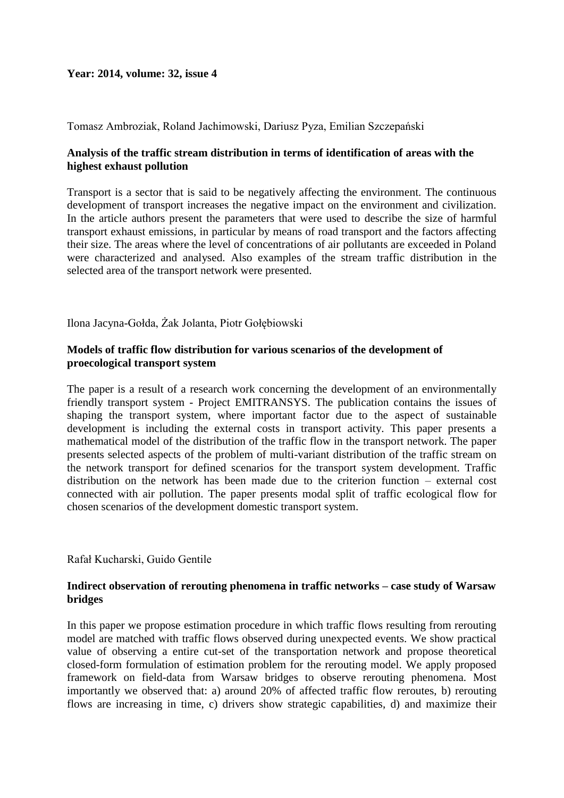# **Year: 2014, volume: 32, issue 4**

Tomasz Ambroziak, Roland Jachimowski, Dariusz Pyza, Emilian Szczepański

# **Analysis of the traffic stream distribution in terms of identification of areas with the highest exhaust pollution**

Transport is a sector that is said to be negatively affecting the environment. The continuous development of transport increases the negative impact on the environment and civilization. In the article authors present the parameters that were used to describe the size of harmful transport exhaust emissions, in particular by means of road transport and the factors affecting their size. The areas where the level of concentrations of air pollutants are exceeded in Poland were characterized and analysed. Also examples of the stream traffic distribution in the selected area of the transport network were presented.

Ilona Jacyna-Gołda, Żak Jolanta, Piotr Gołębiowski

### **Models of traffic flow distribution for various scenarios of the development of proecological transport system**

The paper is a result of a research work concerning the development of an environmentally friendly transport system - Project EMITRANSYS. The publication contains the issues of shaping the transport system, where important factor due to the aspect of sustainable development is including the external costs in transport activity. This paper presents a mathematical model of the distribution of the traffic flow in the transport network. The paper presents selected aspects of the problem of multi-variant distribution of the traffic stream on the network transport for defined scenarios for the transport system development. Traffic distribution on the network has been made due to the criterion function – external cost connected with air pollution. The paper presents modal split of traffic ecological flow for chosen scenarios of the development domestic transport system.

#### Rafał Kucharski, Guido Gentile

### **Indirect observation of rerouting phenomena in traffic networks – case study of Warsaw bridges**

In this paper we propose estimation procedure in which traffic flows resulting from rerouting model are matched with traffic flows observed during unexpected events. We show practical value of observing a entire cut-set of the transportation network and propose theoretical closed-form formulation of estimation problem for the rerouting model. We apply proposed framework on field-data from Warsaw bridges to observe rerouting phenomena. Most importantly we observed that: a) around 20% of affected traffic flow reroutes, b) rerouting flows are increasing in time, c) drivers show strategic capabilities, d) and maximize their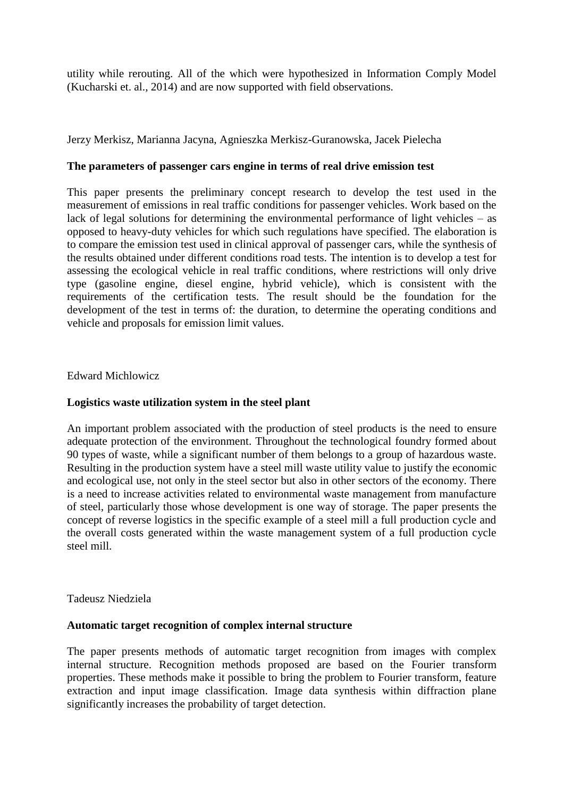utility while rerouting. All of the which were hypothesized in Information Comply Model (Kucharski et. al., 2014) and are now supported with field observations.

Jerzy Merkisz, Marianna Jacyna, Agnieszka Merkisz-Guranowska, Jacek Pielecha

### **The parameters of passenger cars engine in terms of real drive emission test**

This paper presents the preliminary concept research to develop the test used in the measurement of emissions in real traffic conditions for passenger vehicles. Work based on the lack of legal solutions for determining the environmental performance of light vehicles – as opposed to heavy-duty vehicles for which such regulations have specified. The elaboration is to compare the emission test used in clinical approval of passenger cars, while the synthesis of the results obtained under different conditions road tests. The intention is to develop a test for assessing the ecological vehicle in real traffic conditions, where restrictions will only drive type (gasoline engine, diesel engine, hybrid vehicle), which is consistent with the requirements of the certification tests. The result should be the foundation for the development of the test in terms of: the duration, to determine the operating conditions and vehicle and proposals for emission limit values.

# Edward Michlowicz

### **Logistics waste utilization system in the steel plant**

An important problem associated with the production of steel products is the need to ensure adequate protection of the environment. Throughout the technological foundry formed about 90 types of waste, while a significant number of them belongs to a group of hazardous waste. Resulting in the production system have a steel mill waste utility value to justify the economic and ecological use, not only in the steel sector but also in other sectors of the economy. There is a need to increase activities related to environmental waste management from manufacture of steel, particularly those whose development is one way of storage. The paper presents the concept of reverse logistics in the specific example of a steel mill a full production cycle and the overall costs generated within the waste management system of a full production cycle steel mill.

#### Tadeusz Niedziela

#### **Automatic target recognition of complex internal structure**

The paper presents methods of automatic target recognition from images with complex internal structure. Recognition methods proposed are based on the Fourier transform properties. These methods make it possible to bring the problem to Fourier transform, feature extraction and input image classification. Image data synthesis within diffraction plane significantly increases the probability of target detection.